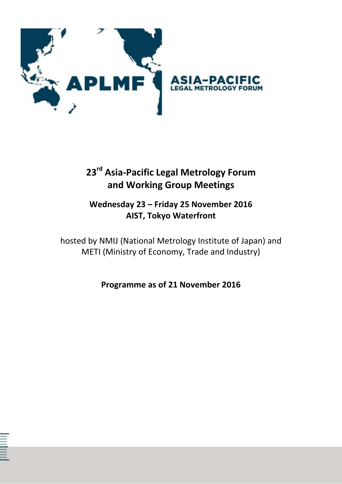

# **23rd Asia-Pacific Legal Metrology Forum and Working Group Meetings**

### **Wednesday 23 – Friday 25 November 2016 AIST, Tokyo Waterfront**

hosted by NMIJ (National Metrology Institute of Japan) and METI (Ministry of Economy, Trade and Industry)

**Programme as of 21 November 2016**

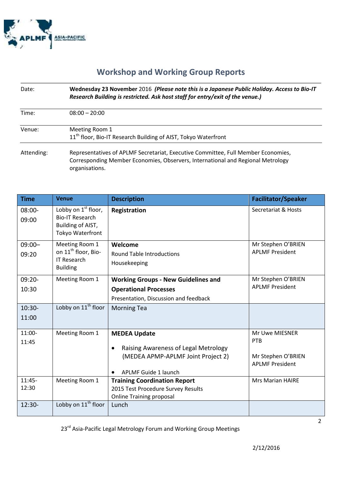

#### **Workshop and Working Group Reports**

| Date:      | Wednesday 23 November 2016 (Please note this is a Japanese Public Holiday. Access to Bio-IT<br>Research Building is restricted. Ask host staff for entry/exit of the venue.)           |
|------------|----------------------------------------------------------------------------------------------------------------------------------------------------------------------------------------|
| Time:      | $08:00 - 20:00$                                                                                                                                                                        |
| Venue:     | Meeting Room 1<br>11 <sup>th</sup> floor, Bio-IT Research Building of AIST, Tokyo Waterfront                                                                                           |
| Attending: | Representatives of APLMF Secretariat, Executive Committee, Full Member Economies,<br>Corresponding Member Economies, Observers, International and Regional Metrology<br>organisations. |

| <b>Time</b>        | <b>Venue</b>                                                                               | <b>Description</b>                                                                                                                     | <b>Facilitator/Speaker</b>                                            |
|--------------------|--------------------------------------------------------------------------------------------|----------------------------------------------------------------------------------------------------------------------------------------|-----------------------------------------------------------------------|
| $08:00 -$<br>09:00 | Lobby on $1st$ floor,<br><b>Bio-IT Research</b><br>Building of AIST,<br>Tokyo Waterfront   | Registration                                                                                                                           | Secretariat & Hosts                                                   |
| $09:00 -$<br>09:20 | Meeting Room 1<br>on 11 <sup>th</sup> floor, Bio-<br><b>IT Research</b><br><b>Building</b> | Welcome<br><b>Round Table Introductions</b><br>Housekeeping                                                                            | Mr Stephen O'BRIEN<br><b>APLMF President</b>                          |
| $09:20 -$          | Meeting Room 1                                                                             | <b>Working Groups - New Guidelines and</b>                                                                                             | Mr Stephen O'BRIEN                                                    |
| 10:30              |                                                                                            | <b>Operational Processes</b>                                                                                                           | <b>APLMF President</b>                                                |
|                    |                                                                                            | Presentation, Discussion and feedback                                                                                                  |                                                                       |
| $10:30-$           | Lobby on 11 <sup>th</sup> floor                                                            | <b>Morning Tea</b>                                                                                                                     |                                                                       |
| 11:00              |                                                                                            |                                                                                                                                        |                                                                       |
| 11:00-<br>11:45    | Meeting Room 1                                                                             | <b>MEDEA Update</b><br>Raising Awareness of Legal Metrology<br>$\bullet$<br>(MEDEA APMP-APLMF Joint Project 2)<br>APLMF Guide 1 launch | Mr Uwe MIESNER<br>PTB<br>Mr Stephen O'BRIEN<br><b>APLMF President</b> |
| $11:45-$<br>12:30  | Meeting Room 1                                                                             | <b>Training Coordination Report</b><br>2015 Test Procedure Survey Results<br><b>Online Training proposal</b>                           | <b>Mrs Marian HAIRE</b>                                               |
| $12:30-$           | Lobby on 11 <sup>th</sup> floor                                                            | Lunch                                                                                                                                  |                                                                       |

23<sup>rd</sup> Asia-Pacific Legal Metrology Forum and Working Group Meetings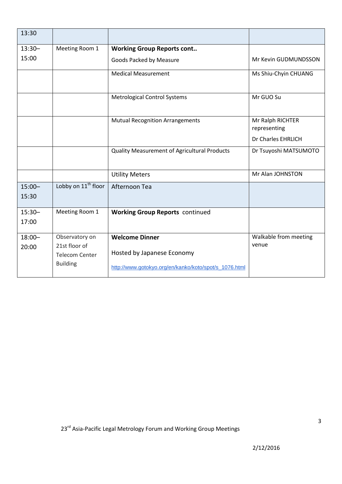| 13:30              |                                                           |                                                                                     |                                  |
|--------------------|-----------------------------------------------------------|-------------------------------------------------------------------------------------|----------------------------------|
| $13:30-$           | Meeting Room 1                                            | <b>Working Group Reports cont</b>                                                   |                                  |
| 15:00              |                                                           | Goods Packed by Measure                                                             | Mr Kevin GUDMUNDSSON             |
|                    |                                                           | <b>Medical Measurement</b>                                                          | Ms Shiu-Chyin CHUANG             |
|                    |                                                           | <b>Metrological Control Systems</b>                                                 | Mr GUO Su                        |
|                    |                                                           | <b>Mutual Recognition Arrangements</b>                                              | Mr Ralph RICHTER<br>representing |
|                    |                                                           |                                                                                     | Dr Charles EHRLICH               |
|                    |                                                           | Quality Measurement of Agricultural Products                                        | Dr Tsuyoshi MATSUMOTO            |
|                    |                                                           | <b>Utility Meters</b>                                                               | Mr Alan JOHNSTON                 |
| $15:00 -$<br>15:30 | Lobby on 11 <sup>th</sup> floor                           | Afternoon Tea                                                                       |                                  |
| $15:30 -$<br>17:00 | Meeting Room 1                                            | <b>Working Group Reports continued</b>                                              |                                  |
| $18:00 -$          | Observatory on                                            | <b>Welcome Dinner</b>                                                               | Walkable from meeting            |
| 20:00              | 21st floor of<br><b>Telecom Center</b><br><b>Building</b> | Hosted by Japanese Economy<br>http://www.gotokyo.org/en/kanko/koto/spot/s_1076.html | venue                            |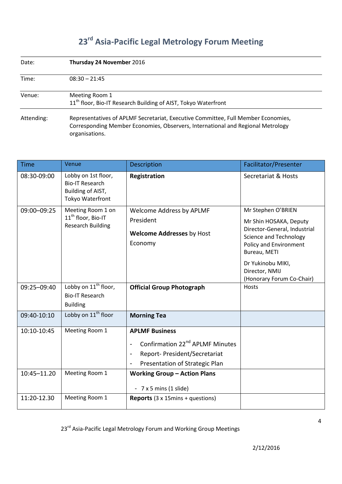# **23rd Asia-Pacific Legal Metrology Forum Meeting**

| Date:                                                                                                                                                                                                | Thursday 24 November 2016                                                                    |  |  |
|------------------------------------------------------------------------------------------------------------------------------------------------------------------------------------------------------|----------------------------------------------------------------------------------------------|--|--|
| Time:                                                                                                                                                                                                | $08:30 - 21:45$                                                                              |  |  |
| Venue:                                                                                                                                                                                               | Meeting Room 1<br>11 <sup>th</sup> floor, Bio-IT Research Building of AIST, Tokyo Waterfront |  |  |
| Representatives of APLMF Secretariat, Executive Committee, Full Member Economies,<br>Attending:<br>Corresponding Member Economies, Observers, International and Regional Metrology<br>organisations. |                                                                                              |  |  |

| <b>Time</b>                | Venue                                                                                  | <b>Description</b>                                                                                                                                                                                                           | Facilitator/Presenter                                                                                                                                                                                                       |
|----------------------------|----------------------------------------------------------------------------------------|------------------------------------------------------------------------------------------------------------------------------------------------------------------------------------------------------------------------------|-----------------------------------------------------------------------------------------------------------------------------------------------------------------------------------------------------------------------------|
| 08:30-09:00                | Lobby on 1st floor,<br><b>Bio-IT Research</b><br>Building of AIST,<br>Tokyo Waterfront | Registration                                                                                                                                                                                                                 | Secretariat & Hosts                                                                                                                                                                                                         |
| 09:00-09:25                | Meeting Room 1 on<br>11 <sup>th</sup> floor, Bio-IT<br><b>Research Building</b>        | Welcome Address by APLMF<br>President<br><b>Welcome Addresses by Host</b><br>Economy                                                                                                                                         | Mr Stephen O'BRIEN<br>Mr Shin HOSAKA, Deputy<br>Director-General, Industrial<br><b>Science and Technology</b><br>Policy and Environment<br>Bureau, METI<br>Dr Yukinobu MIKI,<br>Director, NMIJ<br>(Honorary Forum Co-Chair) |
| 09:25-09:40                | Lobby on $11^{th}$ floor,<br><b>Bio-IT Research</b><br><b>Building</b>                 | <b>Official Group Photograph</b>                                                                                                                                                                                             | Hosts                                                                                                                                                                                                                       |
| 09:40-10:10                | Lobby on 11 <sup>th</sup> floor                                                        | <b>Morning Tea</b>                                                                                                                                                                                                           |                                                                                                                                                                                                                             |
| 10:10-10:45<br>10:45-11.20 | Meeting Room 1<br>Meeting Room 1                                                       | <b>APLMF Business</b><br>Confirmation 22 <sup>nd</sup> APLMF Minutes<br>$\overline{\phantom{a}}$<br>Report- President/Secretariat<br>$\blacksquare$<br>Presentation of Strategic Plan<br><b>Working Group - Action Plans</b> |                                                                                                                                                                                                                             |
|                            |                                                                                        | - $7 \times 5$ mins (1 slide)                                                                                                                                                                                                |                                                                                                                                                                                                                             |
| 11:20-12.30                | Meeting Room 1                                                                         | <b>Reports</b> $(3 \times 15)$ mins + questions)                                                                                                                                                                             |                                                                                                                                                                                                                             |

23<sup>rd</sup> Asia-Pacific Legal Metrology Forum and Working Group Meetings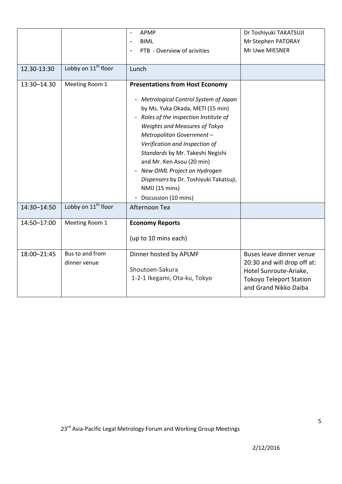| 12.30-13:30 | Lobby on 11 <sup>th</sup> floor | APMP<br><b>BIML</b><br>PTB - Overview of acivities<br>Lunch                                                                                                                                                                                                                                                                                                                                                                                          | Dr Toshiyuki TAKATSUJI<br>Mr Stephen PATORAY<br>Mr Uwe MIESNER                                                                               |
|-------------|---------------------------------|------------------------------------------------------------------------------------------------------------------------------------------------------------------------------------------------------------------------------------------------------------------------------------------------------------------------------------------------------------------------------------------------------------------------------------------------------|----------------------------------------------------------------------------------------------------------------------------------------------|
| 13:30-14.30 | Meeting Room 1                  | <b>Presentations from Host Economy</b><br>- Metrological Control System of Japan<br>by Ms. Yuka Okada, METI (15 min)<br>- Roles of the Inspection Institute of<br>Weights and Measures of Tokyo<br>Metropolitan Government-<br>Verification and Inspection of<br>Standards by Mr. Takeshi Negishi<br>and Mr. Ken Asou (20 min)<br>- New OIML Project on Hydrogen<br>Dispensers by Dr. Toshiyuki Takatsuji,<br>NMIJ (15 mins)<br>Discussion (10 mins) |                                                                                                                                              |
| 14:30-14:50 | Lobby on 11 <sup>th</sup> floor | Afternoon Tea                                                                                                                                                                                                                                                                                                                                                                                                                                        |                                                                                                                                              |
| 14:50-17:00 | Meeting Room 1                  | <b>Economy Reports</b><br>(up to 10 mins each)                                                                                                                                                                                                                                                                                                                                                                                                       |                                                                                                                                              |
| 18:00-21:45 | Bus to and from<br>dinner venue | Dinner hosted by APLMF<br>Shoutoen-Sakura<br>1-2-1 Ikegami, Ota-ku, Tokyo                                                                                                                                                                                                                                                                                                                                                                            | Buses leave dinner venue<br>20:30 and will drop off at:<br>Hotel Sunroute-Ariake,<br><b>Tokoyo Teleport Station</b><br>and Grand Nikko Daiba |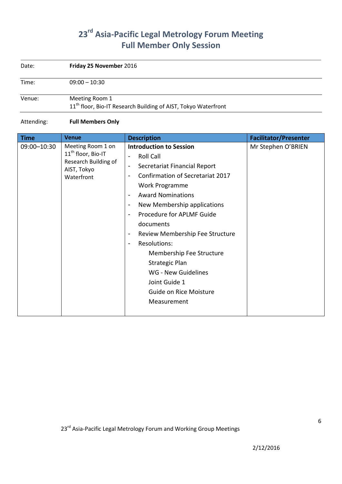## **23rd Asia-Pacific Legal Metrology Forum Meeting Full Member Only Session**

| Date:  | Friday 25 November 2016                                                                      |
|--------|----------------------------------------------------------------------------------------------|
| Time:  | $09:00 - 10:30$                                                                              |
| Venue: | Meeting Room 1<br>11 <sup>th</sup> floor, Bio-IT Research Building of AIST, Tokyo Waterfront |

#### Attending: **Full Members Only**

| <b>Time</b> | <b>Venue</b>                        | <b>Description</b>                                       | <b>Facilitator/Presenter</b> |
|-------------|-------------------------------------|----------------------------------------------------------|------------------------------|
| 09:00-10:30 | Meeting Room 1 on                   | <b>Introduction to Session</b>                           | Mr Stephen O'BRIEN           |
|             | 11 <sup>th</sup> floor, Bio-IT      | <b>Roll Call</b>                                         |                              |
|             | Research Building of<br>AIST, Tokyo | Secretariat Financial Report<br>$\overline{\phantom{a}}$ |                              |
|             | Waterfront                          | Confirmation of Secretariat 2017                         |                              |
|             |                                     | Work Programme                                           |                              |
|             |                                     | <b>Award Nominations</b>                                 |                              |
|             |                                     | New Membership applications                              |                              |
|             |                                     | Procedure for APLMF Guide                                |                              |
|             |                                     | documents                                                |                              |
|             |                                     | Review Membership Fee Structure<br>-                     |                              |
|             |                                     | <b>Resolutions:</b>                                      |                              |
|             |                                     | Membership Fee Structure                                 |                              |
|             |                                     | <b>Strategic Plan</b>                                    |                              |
|             |                                     | WG - New Guidelines                                      |                              |
|             |                                     | Joint Guide 1                                            |                              |
|             |                                     | Guide on Rice Moisture                                   |                              |
|             |                                     | Measurement                                              |                              |
|             |                                     |                                                          |                              |